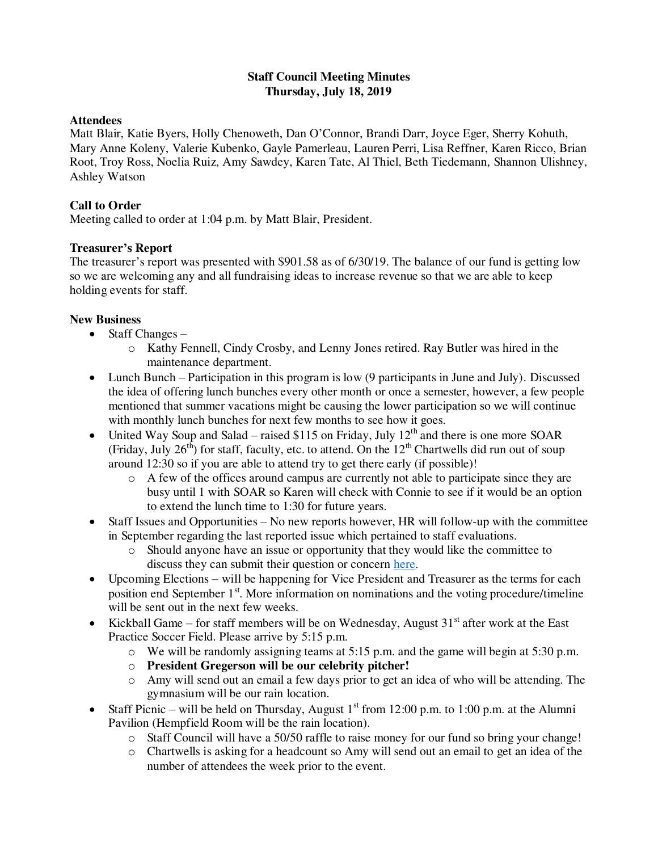## **Staff Council Meeting Minutes Thursday, July 18, 2019**

## **Attendees**

Matt Blair, Katie Byers, Holly Chenoweth, Dan O'Connor, Brandi Darr, Joyce Eger, Sherry Kohuth, Mary Anne Koleny, Valerie Kubenko, Gayle Pamerleau, Lauren Perri, Lisa Reffner, Karen Ricco, Brian Root, Troy Ross, Noelia Ruiz, Amy Sawdey, Karen Tate, Al Thiel, Beth Tiedemann, Shannon Ulishney, Ashley Watson

# **Call to Order**

Meeting called to order at 1:04 p.m. by Matt Blair, President.

# **Treasurer's Report**

The treasurer's report was presented with \$901.58 as of 6/30/19. The balance of our fund is getting low so we are welcoming any and all fundraising ideas to increase revenue so that we are able to keep holding events for staff.

# **New Business**

- $\bullet$  Staff Changes
	- o Kathy Fennell, Cindy Crosby, and Lenny Jones retired. Ray Butler was hired in the maintenance department.
- Lunch Bunch Participation in this program is low (9 participants in June and July). Discussed the idea of offering lunch bunches every other month or once a semester, however, a few people mentioned that summer vacations might be causing the lower participation so we will continue with monthly lunch bunches for next few months to see how it goes.
- United Way Soup and Salad raised \$115 on Friday, July  $12<sup>th</sup>$  and there is one more SOAR (Friday, July 26<sup>th</sup>) for staff, faculty, etc. to attend. On the  $12<sup>th</sup>$  Chartwells did run out of soup around 12:30 so if you are able to attend try to get there early (if possible)!
	- o A few of the offices around campus are currently not able to participate since they are busy until 1 with SOAR so Karen will check with Connie to see if it would be an option to extend the lunch time to 1:30 for future years.
- Staff Issues and Opportunities No new reports however, HR will follow-up with the committee in September regarding the last reported issue which pertained to staff evaluations.
	- o Should anyone have an issue or opportunity that they would like the committee to discuss they can submit their question or concern [here.](https://www.greensburg.pitt.edu/faculty-staff/staff-council/staff-council-issues-and-opportunities-form)
- Upcoming Elections will be happening for Vice President and Treasurer as the terms for each position end September 1<sup>st</sup>. More information on nominations and the voting procedure/timeline will be sent out in the next few weeks.
- Kickball Game for staff members will be on Wednesday, August  $31<sup>st</sup>$  after work at the East Practice Soccer Field. Please arrive by 5:15 p.m.
	- $\circ$  We will be randomly assigning teams at 5:15 p.m. and the game will begin at 5:30 p.m.
	- o **President Gregerson will be our celebrity pitcher!**
	- o Amy will send out an email a few days prior to get an idea of who will be attending. The gymnasium will be our rain location.
- Staff Picnic will be held on Thursday, August  $1<sup>st</sup>$  from 12:00 p.m. to 1:00 p.m. at the Alumni Pavilion (Hempfield Room will be the rain location).
	- o Staff Council will have a 50/50 raffle to raise money for our fund so bring your change!
	- o Chartwells is asking for a headcount so Amy will send out an email to get an idea of the number of attendees the week prior to the event.